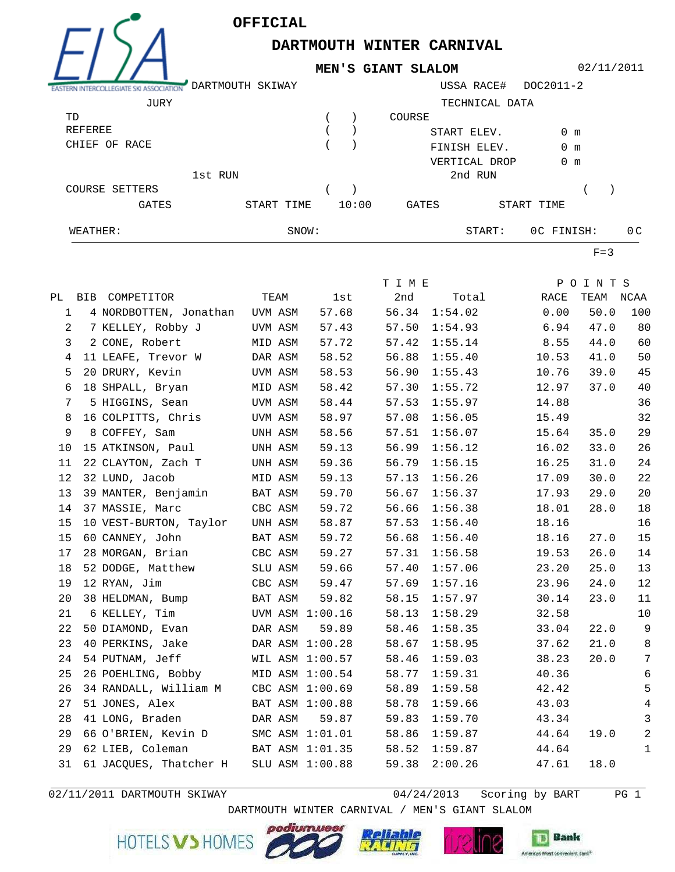

**DARTMOUTH WINTER CARNIVAL**

**MEN'S GIANT SLALOM**

02/11/2011

|                       | DARTMOUTH SKIWAY |       |       |                | USSA RACE#    | DOC2011-2     |  |                |
|-----------------------|------------------|-------|-------|----------------|---------------|---------------|--|----------------|
| JURY                  |                  |       |       | TECHNICAL DATA |               |               |  |                |
| TD                    |                  |       |       | COURSE         |               |               |  |                |
| <b>REFEREE</b>        |                  |       |       | START ELEV.    |               | 0 m           |  |                |
| CHIEF OF RACE         |                  |       |       |                | FINISH ELEV.  | 0 m           |  |                |
|                       |                  |       |       |                | VERTICAL DROP | $0 \text{ m}$ |  |                |
|                       | 1st RUN          |       |       |                | 2nd RUN       |               |  |                |
| <b>COURSE SETTERS</b> |                  |       |       |                |               |               |  |                |
| <b>GATES</b>          | START TIME       |       | 10:00 | GATES          |               | START TIME    |  |                |
| WEATHER:              |                  | SNOW: |       |                | START:        | OC FINISH:    |  | 0 <sup>C</sup> |

 $F=3$ 

|             |                                       |                 |                 | T I M E |         |       | POINTS |                |
|-------------|---------------------------------------|-----------------|-----------------|---------|---------|-------|--------|----------------|
|             | PL BIB COMPETITOR                     | TEAM            | lst             | 2nd     | Total   | RACE  | TEAM   | NCAA           |
| $\mathbf 1$ | 4 NORDBOTTEN, Jonathan                | UVM ASM         | 57.68           | 56.34   | 1:54.02 | 0.00  | 50.0   | 100            |
| 2           | 7 KELLEY, Robby J                     | UVM ASM         | 57.43           | 57.50   | 1:54.93 | 6.94  | 47.0   | 80             |
| 3           | 2 CONE, Robert                        | MID ASM         | 57.72           | 57.42   | 1:55.14 | 8.55  | 44.0   | 60             |
| 4           | 11 LEAFE, Trevor W                    | DAR ASM         | 58.52           | 56.88   | 1:55.40 | 10.53 | 41.0   | 50             |
| 5           | 20 DRURY, Kevin                       | UVM ASM         | 58.53           | 56.90   | 1:55.43 | 10.76 | 39.0   | 45             |
| 6           | 18 SHPALL, Bryan                      | MID ASM         | 58.42           | 57.30   | 1:55.72 | 12.97 | 37.0   | 40             |
| 7           | 5 HIGGINS, Sean                       | UVM ASM         | 58.44           | 57.53   | 1:55.97 | 14.88 |        | 36             |
| 8           | 16 COLPITTS, Chris                    | UVM ASM         | 58.97           | 57.08   | 1:56.05 | 15.49 |        | 32             |
| 9           | 8 COFFEY, Sam                         | UNH ASM         | 58.56           | 57.51   | 1:56.07 | 15.64 | 35.0   | 29             |
| 10          | 15 ATKINSON, Paul                     | UNH ASM         | 59.13           | 56.99   | 1:56.12 | 16.02 | 33.0   | 26             |
| 11          | 22 CLAYTON, Zach T                    | UNH ASM         | 59.36           | 56.79   | 1:56.15 | 16.25 | 31.0   | 24             |
| 12          | 32 LUND, Jacob                        | MID ASM         | 59.13           | 57.13   | 1:56.26 | 17.09 | 30.0   | 22             |
| 13          | 39 MANTER, Benjamin                   | BAT ASM         | 59.70           | 56.67   | 1:56.37 | 17.93 | 29.0   | 20             |
| 14          | 37 MASSIE, Marc                       | CBC ASM         | 59.72           | 56.66   | 1:56.38 | 18.01 | 28.0   | 18             |
| 15          | 10 VEST-BURTON, Taylor                | UNH ASM         | 58.87           | 57.53   | 1:56.40 | 18.16 |        | 16             |
| 15          | 60 CANNEY, John                       | BAT ASM         | 59.72           | 56.68   | 1:56.40 | 18.16 | 27.0   | 15             |
| 17          | 28 MORGAN, Brian                      | CBC ASM         | 59.27           | 57.31   | 1:56.58 | 19.53 | 26.0   | 14             |
| 18          | 52 DODGE, Matthew                     | SLU ASM         | 59.66           | 57.40   | 1:57.06 | 23.20 | 25.0   | 13             |
| 19          | 12 RYAN, Jim                          | CBC ASM         | 59.47           | 57.69   | 1:57.16 | 23.96 | 24.0   | 12             |
| 20          | 38 HELDMAN, Bump                      | BAT ASM         | 59.82           | 58.15   | 1:57.97 | 30.14 | 23.0   | 11             |
| 21          | 6 KELLEY, Tim                         |                 | UVM ASM 1:00.16 | 58.13   | 1:58.29 | 32.58 |        | 10             |
| 22          | 50 DIAMOND, Evan                      | DAR ASM         | 59.89           | 58.46   | 1:58.35 | 33.04 | 22.0   | 9              |
| 23          | 40 PERKINS, Jake                      | DAR ASM 1:00.28 |                 | 58.67   | 1:58.95 | 37.62 | 21.0   | $\,8\,$        |
| 24          | 54 PUTNAM, Jeff                       | WIL ASM 1:00.57 |                 | 58.46   | 1:59.03 | 38.23 | 20.0   | $\overline{7}$ |
| 25          | 26 POEHLING, Bobby                    | MID ASM 1:00.54 |                 | 58.77   | 1:59.31 | 40.36 |        | 6              |
| 26          | 34 RANDALL, William M CBC ASM 1:00.69 |                 |                 | 58.89   | 1:59.58 | 42.42 |        | 5              |
| 27          | 51 JONES, Alex                        |                 | BAT ASM 1:00.88 | 58.78   | 1:59.66 | 43.03 |        | 4              |
| 28          | 41 LONG, Braden                       | DAR ASM         | 59.87           | 59.83   | 1:59.70 | 43.34 |        | $\mathbf{3}$   |
| 29          | 66 O'BRIEN, Kevin D                   |                 | SMC ASM 1:01.01 | 58.86   | 1:59.87 | 44.64 | 19.0   | $\sqrt{2}$     |
| 29          | 62 LIEB, Coleman                      | BAT ASM 1:01.35 |                 | 58.52   | 1:59.87 | 44.64 |        | 1              |
| 31          | 61 JACQUES, Thatcher H                |                 | SLU ASM 1:00.88 | 59.38   | 2:00.26 | 47.61 | 18.0   |                |
|             |                                       |                 |                 |         |         |       |        |                |

02/11/2011 DARTMOUTH SKIWAY 64/24/2013 Scoring by BART PG 1

DARTMOUTH WINTER CARNIVAL / MEN'S GIANT SLALOM